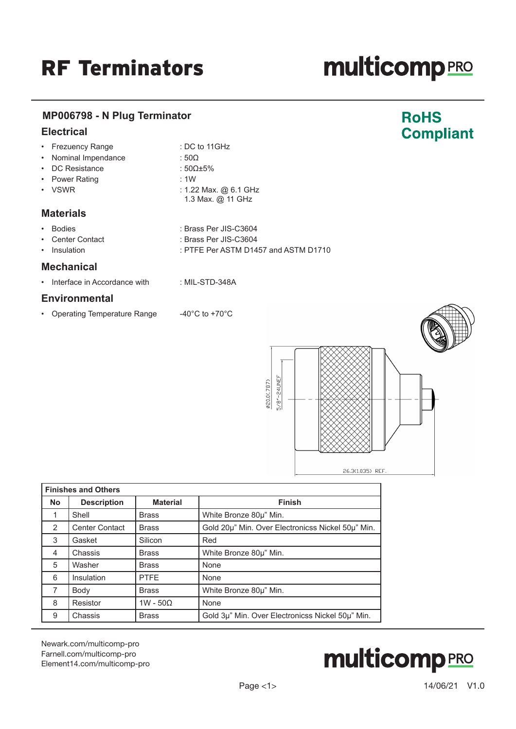# **multicomp**PRO

**RoHS** 

**Compliant** 

### **MP006798 - N Plug Terminator**

### **Electrical**

| Frezuency Range | : DC to 11GHz |
|-----------------|---------------|

- Nominal Impendance : 50Ω
- DC Resistance : 50Ω±5%
- Power Rating : 1W
- 
- VSWR : 1.22 Max. @ 6.1 GHz
- **Materials**
- Bodies : Brass Per JIS-C3604
- Center Contact : Brass Per JIS-C3604
- Insulation : PTFE Per ASTM D1457 and ASTM D1710

1.3 Max. @ 11 GHz

### **Mechanical**

• Interface in Accordance with : MIL-STD-348A

## **Environmental**

• Operating Temperature Range  $-40^{\circ}$ C to +70°C



| <b>Finishes and Others</b> |                       |                 |                                                   |
|----------------------------|-----------------------|-----------------|---------------------------------------------------|
| <b>No</b>                  | <b>Description</b>    | <b>Material</b> | <b>Finish</b>                                     |
|                            | Shell                 | <b>Brass</b>    | White Bronze 80µ" Min.                            |
| 2                          | <b>Center Contact</b> | <b>Brass</b>    | Gold 20µ" Min. Over Electronicss Nickel 50µ" Min. |
| 3                          | Gasket                | Silicon         | Red                                               |
| 4                          | Chassis               | <b>Brass</b>    | White Bronze 80µ" Min.                            |
| 5                          | Washer                | <b>Brass</b>    | None                                              |
| 6                          | Insulation            | <b>PTFE</b>     | None                                              |
| $\overline{7}$             | Body                  | <b>Brass</b>    | White Bronze 80µ" Min.                            |
| 8                          | Resistor              | $1W - 50Q$      | None                                              |
| 9                          | Chassis               | <b>Brass</b>    | Gold 3µ" Min. Over Electronicss Nickel 50µ" Min.  |

[Newark.com/multicomp-](https://www.newark.com/multicomp-pro)pro [Farnell.com/multicomp](https://www.farnell.com/multicomp-pro)-pro [Element14.com/multicomp-pro](https://element14.com/multicomp-pro)

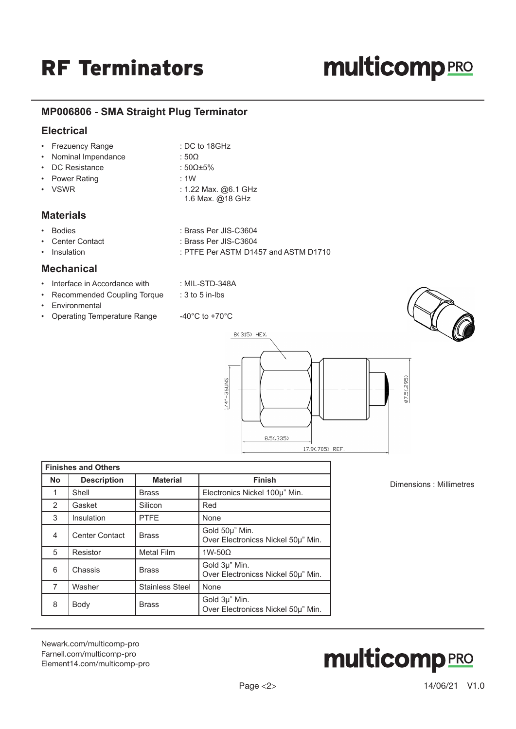# **multicomp**PRO

## **MP006806 - SMA Straight Plug Terminator**

### **Electrical**

|                  | • Frezuency Range    | : DC to 18GHz          |
|------------------|----------------------|------------------------|
|                  | • Nominal Impendance | : 50 $\Omega$          |
|                  | • DC Resistance      | : 50 $\Omega$ ±5%      |
|                  | • Power Rating       | :1W                    |
|                  | • VSWR               | : 1.22 Max. $@6.1$ GHz |
|                  |                      | 1.6 Max. @18 GHz       |
| <b>Materials</b> |                      |                        |

- Bodies : Brass Per JIS-C3604
	- Center Contact : Brass Per JIS-C3604

Insulation : PTFE Per ASTM D1457 and ASTM D1710

#### **Mechanical**

- Interface in Accordance with : MIL-STD-348A
- Recommended Coupling Torque : 3 to 5 in-lbs
- Environmental
- Operating Temperature Range  $-40^{\circ}$ C to +70°C



Dimensions : Millimetres

| <b>Finishes and Others</b> |                       |                        |                                                      |
|----------------------------|-----------------------|------------------------|------------------------------------------------------|
| <b>No</b>                  | <b>Description</b>    | <b>Material</b>        | <b>Finish</b>                                        |
|                            | Shell                 | <b>Brass</b>           | Electronics Nickel 100µ" Min.                        |
| $\mathcal{P}$              | Gasket                | Silicon                | Red                                                  |
| 3                          | Insulation            | <b>PTFE</b>            | None                                                 |
| 4                          | <b>Center Contact</b> | <b>Brass</b>           | Gold 50µ" Min.<br>Over Electronicss Nickel 50µ" Min. |
| 5                          | Resistor              | <b>Metal Film</b>      | $1W-50\Omega$                                        |
| 6                          | Chassis               | <b>Brass</b>           | Gold 3µ" Min.<br>Over Electronicss Nickel 50µ" Min.  |
| 7                          | Washer                | <b>Stainless Steel</b> | None                                                 |
| 8                          | Body                  | <b>Brass</b>           | Gold 3µ" Min.<br>Over Electronicss Nickel 50µ" Min.  |

[Newark.com/multicomp-](https://www.newark.com/multicomp-pro)pro [Farnell.com/multicomp](https://www.farnell.com/multicomp-pro)-pro [Element14.com/multicomp-pro](https://element14.com/multicomp-pro)